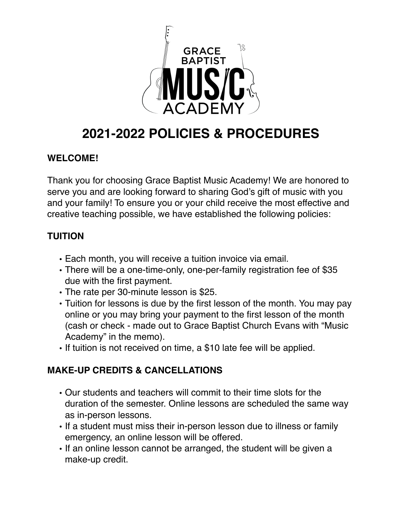

# **2021-2022 POLICIES & PROCEDURES**

#### **WELCOME!**

Thank you for choosing Grace Baptist Music Academy! We are honored to serve you and are looking forward to sharing God's gift of music with you and your family! To ensure you or your child receive the most effective and creative teaching possible, we have established the following policies:

## **TUITION**

- Each month, you will receive a tuition invoice via email.
- There will be a one-time-only, one-per-family registration fee of \$35 due with the first payment.
- The rate per 30-minute lesson is \$25.
- Tuition for lessons is due by the first lesson of the month. You may pay online or you may bring your payment to the first lesson of the month (cash or check - made out to Grace Baptist Church Evans with "Music Academy" in the memo).
- If tuition is not received on time, a \$10 late fee will be applied.

## **MAKE-UP CREDITS & CANCELLATIONS**

- Our students and teachers will commit to their time slots for the duration of the semester. Online lessons are scheduled the same way as in-person lessons.
- If a student must miss their in-person lesson due to illness or family emergency, an online lesson will be offered.
- If an online lesson cannot be arranged, the student will be given a make-up credit.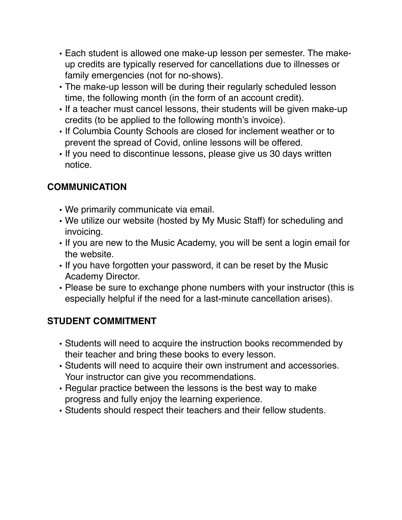- Each student is allowed one make-up lesson per semester. The makeup credits are typically reserved for cancellations due to illnesses or family emergencies (not for no-shows).
- The make-up lesson will be during their regularly scheduled lesson time, the following month (in the form of an account credit).
- If a teacher must cancel lessons, their students will be given make-up credits (to be applied to the following month's invoice).
- If Columbia County Schools are closed for inclement weather or to prevent the spread of Covid, online lessons will be offered.
- If you need to discontinue lessons, please give us 30 days written notice.

## **COMMUNICATION**

- We primarily communicate via email.
- We utilize our website (hosted by My Music Staff) for scheduling and invoicing.
- If you are new to the Music Academy, you will be sent a login email for the website.
- If you have forgotten your password, it can be reset by the Music Academy Director.
- Please be sure to exchange phone numbers with your instructor (this is especially helpful if the need for a last-minute cancellation arises).

## **STUDENT COMMITMENT**

- Students will need to acquire the instruction books recommended by their teacher and bring these books to every lesson.
- Students will need to acquire their own instrument and accessories. Your instructor can give you recommendations.
- Regular practice between the lessons is the best way to make progress and fully enjoy the learning experience.
- Students should respect their teachers and their fellow students.